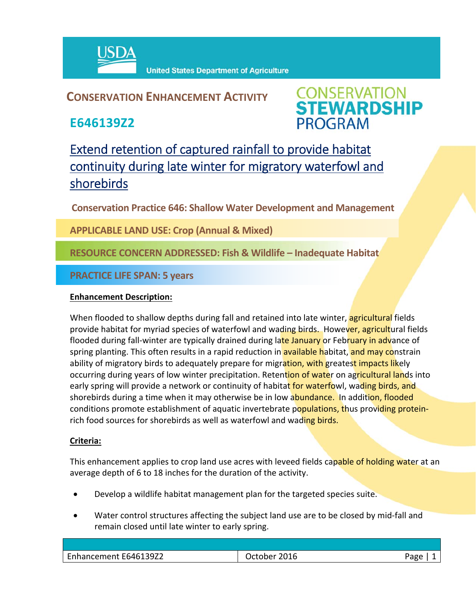

**United States Department of Agriculture** 

# **CONSERVATION ENHANCEMENT ACTIVITY**

**E646139Z2**



# Extend retention of captured rainfall to provide habitat continuity during late winter for migratory waterfowl and shorebirds

**Conservation Practice 646: Shallow Water Development and Management**

**APPLICABLE LAND USE: Crop (Annual & Mixed)**

## **RESOURCE CONCERN ADDRESSED: Fish & Wildlife – Inadequate Habitat**

### **PRACTICE LIFE SPAN: 5 years**

#### **Enhancement Description:**

When flooded to shallow depths during fall and retained into late winter, **agricultural** fields provide habitat for myriad species of waterfowl and wading birds. However, agricultural fields flooded during fall-winter are typically drained during late January or February in advance of spring planting. This often results in a rapid reduction in **available habitat, and may co**nstrain ability of migratory birds to adequately prepare for migration, with greatest impacts likely occurring during years of low winter precipitation. Retention of water on agricultural lands into early spring will provide a network or continuity of habitat for waterfowl, wading birds, and shorebirds during a time when it may otherwise be in low abundance. In addition, flooded conditions promote establishment of aquatic invertebrate populations, thus providing proteinrich food sources for shorebirds as well as waterfowl and wading birds.

#### **Criteria:**

This enhancement applies to crop land use acres with leveed fields capable of holding water at an average depth of 6 to 18 inches for the duration of the activity.

- Develop a wildlife habitat management plan for the targeted species suite.
- Water control structures affecting the subject land use are to be closed by mid‐fall and remain closed until late winter to early spring.

| 2016<br>Jctober | חסבי |
|-----------------|------|
|                 |      |